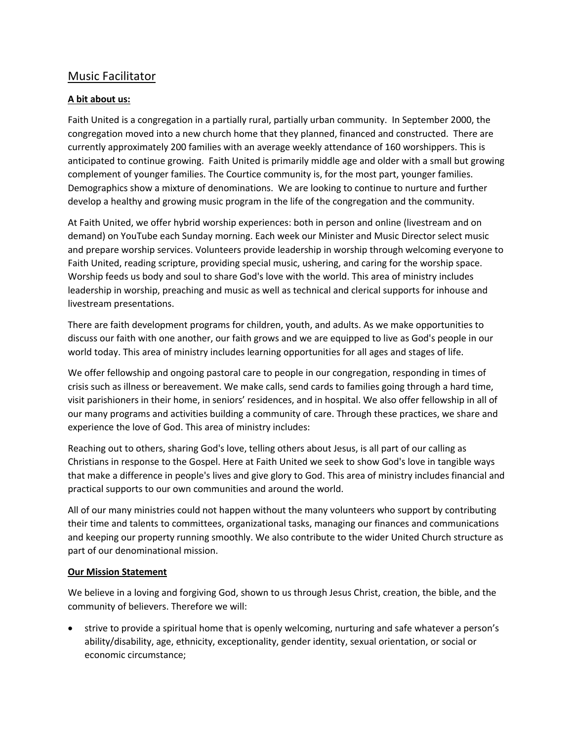# Music Facilitator

# **A bit about us:**

Faith United is a congregation in a partially rural, partially urban community. In September 2000, the congregation moved into a new church home that they planned, financed and constructed. There are currently approximately 200 families with an average weekly attendance of 160 worshippers. This is anticipated to continue growing. Faith United is primarily middle age and older with a small but growing complement of younger families. The Courtice community is, for the most part, younger families. Demographics show a mixture of denominations. We are looking to continue to nurture and further develop a healthy and growing music program in the life of the congregation and the community.

At Faith United, we offer hybrid worship experiences: both in person and online (livestream and on demand) on YouTube each Sunday morning. Each week our Minister and Music Director select music and prepare worship services. Volunteers provide leadership in worship through welcoming everyone to Faith United, reading scripture, providing special music, ushering, and caring for the worship space. Worship feeds us body and soul to share God's love with the world. This area of ministry includes leadership in worship, preaching and music as well as technical and clerical supports for inhouse and livestream presentations.

There are faith development programs for children, youth, and adults. As we make opportunities to discuss our faith with one another, our faith grows and we are equipped to live as God's people in our world today. This area of ministry includes learning opportunities for all ages and stages of life.

We offer fellowship and ongoing pastoral care to people in our congregation, responding in times of crisis such as illness or bereavement. We make calls, send cards to families going through a hard time, visit parishioners in their home, in seniors' residences, and in hospital. We also offer fellowship in all of our many programs and activities building a community of care. Through these practices, we share and experience the love of God. This area of ministry includes:

Reaching out to others, sharing God's love, telling others about Jesus, is all part of our calling as Christians in response to the Gospel. Here at Faith United we seek to show God's love in tangible ways that make a difference in people's lives and give glory to God. This area of ministry includes financial and practical supports to our own communities and around the world.

All of our many ministries could not happen without the many volunteers who support by contributing their time and talents to committees, organizational tasks, managing our finances and communications and keeping our property running smoothly. We also contribute to the wider United Church structure as part of our denominational mission.

### **Our Mission Statement**

We believe in a loving and forgiving God, shown to us through Jesus Christ, creation, the bible, and the community of believers. Therefore we will:

• strive to provide a spiritual home that is openly welcoming, nurturing and safe whatever a person's ability/disability, age, ethnicity, exceptionality, gender identity, sexual orientation, or social or economic circumstance;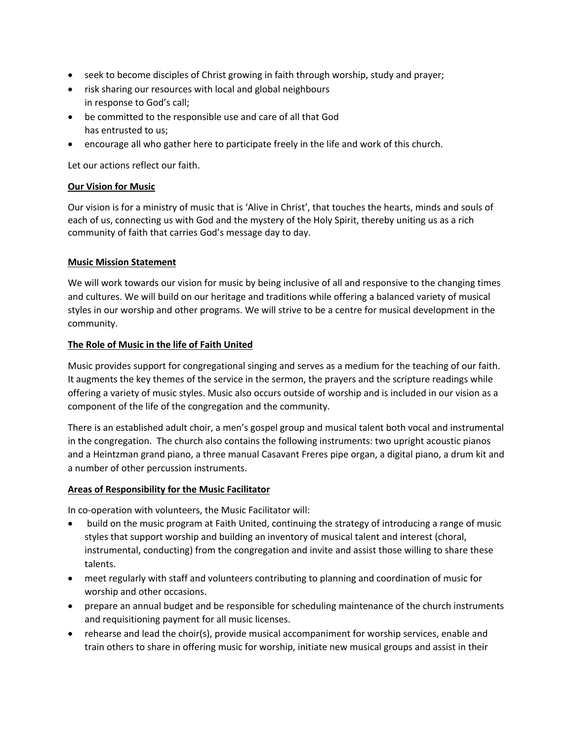- seek to become disciples of Christ growing in faith through worship, study and prayer;
- risk sharing our resources with local and global neighbours in response to God's call;
- be committed to the responsible use and care of all that God has entrusted to us;
- encourage all who gather here to participate freely in the life and work of this church.

Let our actions reflect our faith.

# **Our Vision for Music**

Our vision is for a ministry of music that is 'Alive in Christ', that touches the hearts, minds and souls of each of us, connecting us with God and the mystery of the Holy Spirit, thereby uniting us as a rich community of faith that carries God's message day to day.

# **Music Mission Statement**

We will work towards our vision for music by being inclusive of all and responsive to the changing times and cultures. We will build on our heritage and traditions while offering a balanced variety of musical styles in our worship and other programs. We will strive to be a centre for musical development in the community.

# **The Role of Music in the life of Faith United**

Music provides support for congregational singing and serves as a medium for the teaching of our faith. It augments the key themes of the service in the sermon, the prayers and the scripture readings while offering a variety of music styles. Music also occurs outside of worship and is included in our vision as a component of the life of the congregation and the community.

There is an established adult choir, a men's gospel group and musical talent both vocal and instrumental in the congregation. The church also contains the following instruments: two upright acoustic pianos and a Heintzman grand piano, a three manual Casavant Freres pipe organ, a digital piano, a drum kit and a number of other percussion instruments.

# **Areas of Responsibility for the Music Facilitator**

In co-operation with volunteers, the Music Facilitator will:

- build on the music program at Faith United, continuing the strategy of introducing a range of music styles that support worship and building an inventory of musical talent and interest (choral, instrumental, conducting) from the congregation and invite and assist those willing to share these talents.
- meet regularly with staff and volunteers contributing to planning and coordination of music for worship and other occasions.
- prepare an annual budget and be responsible for scheduling maintenance of the church instruments and requisitioning payment for all music licenses.
- rehearse and lead the choir(s), provide musical accompaniment for worship services, enable and train others to share in offering music for worship, initiate new musical groups and assist in their